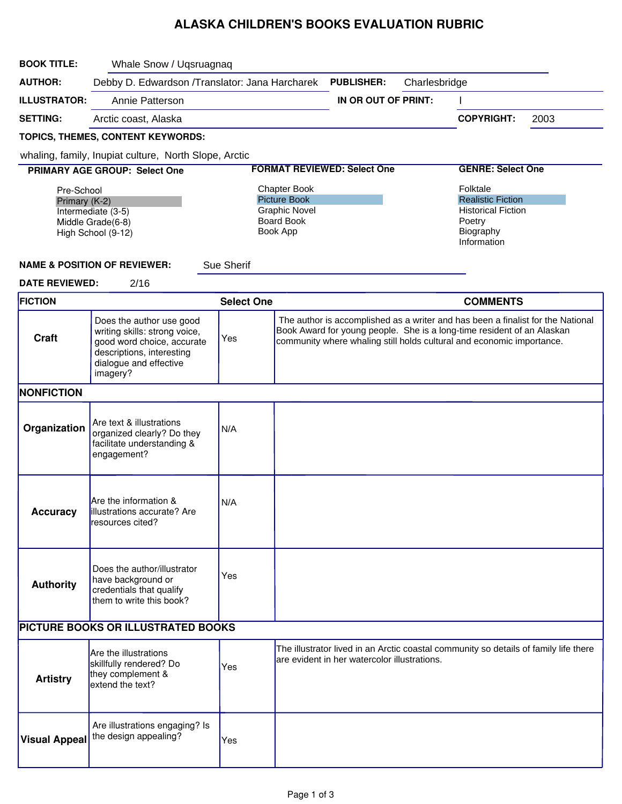## ALASKA CHILDREN'S BOOKS EVALUATION RUBRIC

| <b>BOOK TITLE:</b>                                                                                                                      | Whale Snow / Uqsruagnaq                                                                                                                                    |                                                                                                     |  |                                              |               |                                                                                                                                                                                                                                    |      |
|-----------------------------------------------------------------------------------------------------------------------------------------|------------------------------------------------------------------------------------------------------------------------------------------------------------|-----------------------------------------------------------------------------------------------------|--|----------------------------------------------|---------------|------------------------------------------------------------------------------------------------------------------------------------------------------------------------------------------------------------------------------------|------|
| <b>AUTHOR:</b>                                                                                                                          | Debby D. Edwardson /Translator: Jana Harcharek                                                                                                             |                                                                                                     |  | <b>PUBLISHER:</b>                            | Charlesbridge |                                                                                                                                                                                                                                    |      |
| <b>ILLUSTRATOR:</b>                                                                                                                     | Annie Patterson                                                                                                                                            |                                                                                                     |  | IN OR OUT OF PRINT:                          |               |                                                                                                                                                                                                                                    |      |
| <b>SETTING:</b>                                                                                                                         | Arctic coast, Alaska                                                                                                                                       |                                                                                                     |  |                                              |               | <b>COPYRIGHT:</b>                                                                                                                                                                                                                  | 2003 |
|                                                                                                                                         | TOPICS, THEMES, CONTENT KEYWORDS:                                                                                                                          |                                                                                                     |  |                                              |               |                                                                                                                                                                                                                                    |      |
|                                                                                                                                         | whaling, family, Inupiat culture, North Slope, Arctic                                                                                                      |                                                                                                     |  |                                              |               |                                                                                                                                                                                                                                    |      |
|                                                                                                                                         | PRIMARY AGE GROUP: Select One                                                                                                                              |                                                                                                     |  | <b>FORMAT REVIEWED: Select One</b>           |               | <b>GENRE: Select One</b>                                                                                                                                                                                                           |      |
| Pre-School<br>Primary (K-2)<br>Intermediate (3-5)<br>Middle Grade(6-8)<br>High School (9-12)<br><b>NAME &amp; POSITION OF REVIEWER:</b> |                                                                                                                                                            | <b>Chapter Book</b><br><b>Picture Book</b><br><b>Graphic Novel</b><br><b>Board Book</b><br>Book App |  |                                              |               | Folktale<br><b>Realistic Fiction</b><br><b>Historical Fiction</b><br>Poetry<br>Biography<br>Information                                                                                                                            |      |
| <b>DATE REVIEWED:</b>                                                                                                                   | 2/16                                                                                                                                                       | Sue Sherif                                                                                          |  |                                              |               |                                                                                                                                                                                                                                    |      |
| <b>FICTION</b>                                                                                                                          |                                                                                                                                                            | <b>Select One</b>                                                                                   |  |                                              |               | <b>COMMENTS</b>                                                                                                                                                                                                                    |      |
| <b>Craft</b>                                                                                                                            | Does the author use good<br>writing skills: strong voice,<br>good word choice, accurate<br>descriptions, interesting<br>dialogue and effective<br>imagery? | Yes                                                                                                 |  |                                              |               | The author is accomplished as a writer and has been a finalist for the National<br>Book Award for young people. She is a long-time resident of an Alaskan<br>community where whaling still holds cultural and economic importance. |      |
| <b>NONFICTION</b>                                                                                                                       |                                                                                                                                                            |                                                                                                     |  |                                              |               |                                                                                                                                                                                                                                    |      |
| Organization                                                                                                                            | Are text & illustrations<br>organized clearly? Do they<br>facilitate understanding &<br>engagement?                                                        | N/A                                                                                                 |  |                                              |               |                                                                                                                                                                                                                                    |      |
| <b>Accuracy</b>                                                                                                                         | Are the information &<br>illustrations accurate? Are<br>resources cited?                                                                                   | N/A                                                                                                 |  |                                              |               |                                                                                                                                                                                                                                    |      |
| <b>Authority</b>                                                                                                                        | Does the author/illustrator<br>have background or<br>credentials that qualify<br>them to write this book?                                                  | Yes                                                                                                 |  |                                              |               |                                                                                                                                                                                                                                    |      |
| PICTURE BOOKS OR ILLUSTRATED BOOKS                                                                                                      |                                                                                                                                                            |                                                                                                     |  |                                              |               |                                                                                                                                                                                                                                    |      |
| <b>Artistry</b>                                                                                                                         | Are the illustrations<br>skillfully rendered? Do<br>they complement &<br>extend the text?                                                                  | Yes                                                                                                 |  | are evident in her watercolor illustrations. |               | The illustrator lived in an Arctic coastal community so details of family life there                                                                                                                                               |      |
| <b>Visual Appeal</b>                                                                                                                    | Are illustrations engaging? Is<br>the design appealing?                                                                                                    | Yes                                                                                                 |  |                                              |               |                                                                                                                                                                                                                                    |      |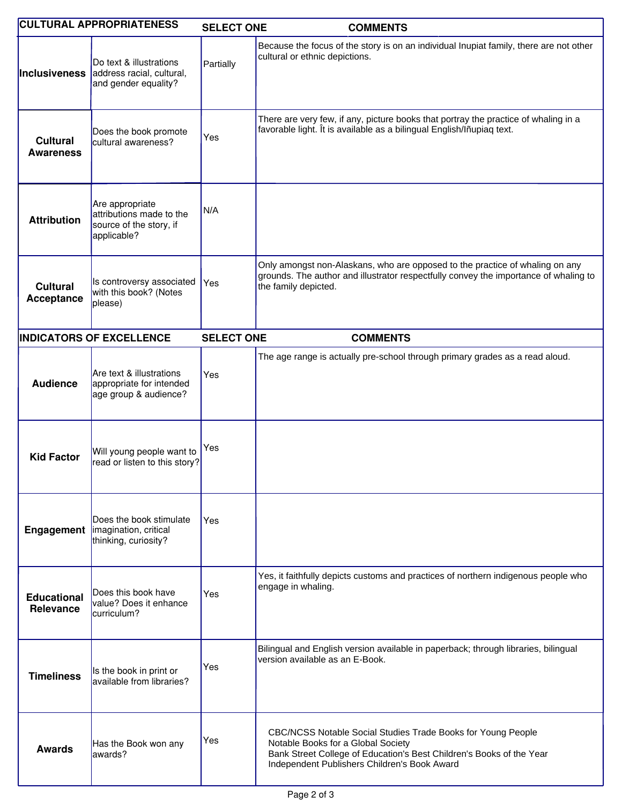|                                        | <b>CULTURAL APPROPRIATENESS</b>                                                       | <b>SELECT ONE</b> | <b>COMMENTS</b>                                                                                                                                                                                                            |
|----------------------------------------|---------------------------------------------------------------------------------------|-------------------|----------------------------------------------------------------------------------------------------------------------------------------------------------------------------------------------------------------------------|
| Inclusiveness                          | Do text & illustrations<br>address racial, cultural,<br>and gender equality?          | Partially         | Because the focus of the story is on an individual Inupiat family, there are not other<br>cultural or ethnic depictions.                                                                                                   |
| <b>Cultural</b><br><b>Awareness</b>    | Does the book promote<br>cultural awareness?                                          | Yes               | There are very few, if any, picture books that portray the practice of whaling in a<br>favorable light. Ît is available as a bilingual English/Iñupiaq text.                                                               |
| <b>Attribution</b>                     | Are appropriate<br>attributions made to the<br>source of the story, if<br>applicable? | N/A               |                                                                                                                                                                                                                            |
| <b>Cultural</b><br>Acceptance          | Is controversy associated<br>with this book? (Notes<br>please)                        | Yes               | Only amongst non-Alaskans, who are opposed to the practice of whaling on any<br>grounds. The author and illustrator respectfully convey the importance of whaling to<br>the family depicted.                               |
|                                        | <b>INDICATORS OF EXCELLENCE</b>                                                       | <b>SELECT ONE</b> | <b>COMMENTS</b>                                                                                                                                                                                                            |
| <b>Audience</b>                        | Are text & illustrations<br>appropriate for intended<br>age group & audience?         | Yes               | The age range is actually pre-school through primary grades as a read aloud.                                                                                                                                               |
| <b>Kid Factor</b>                      | Will young people want to<br>read or listen to this story?                            | Yes               |                                                                                                                                                                                                                            |
| Engagement                             | Does the book stimulate<br>imagination, critical<br>thinking, curiosity?              | Yes               |                                                                                                                                                                                                                            |
| <b>Educational</b><br><b>Relevance</b> | Does this book have<br>value? Does it enhance<br>curriculum?                          | Yes               | Yes, it faithfully depicts customs and practices of northern indigenous people who<br>engage in whaling.                                                                                                                   |
| <b>Timeliness</b>                      | Is the book in print or<br>available from libraries?                                  | Yes               | Bilingual and English version available in paperback; through libraries, bilingual<br>version available as an E-Book.                                                                                                      |
| <b>Awards</b>                          | Has the Book won any<br>lawards?                                                      | Yes               | CBC/NCSS Notable Social Studies Trade Books for Young People<br>Notable Books for a Global Society<br>Bank Street College of Education's Best Children's Books of the Year<br>Independent Publishers Children's Book Award |